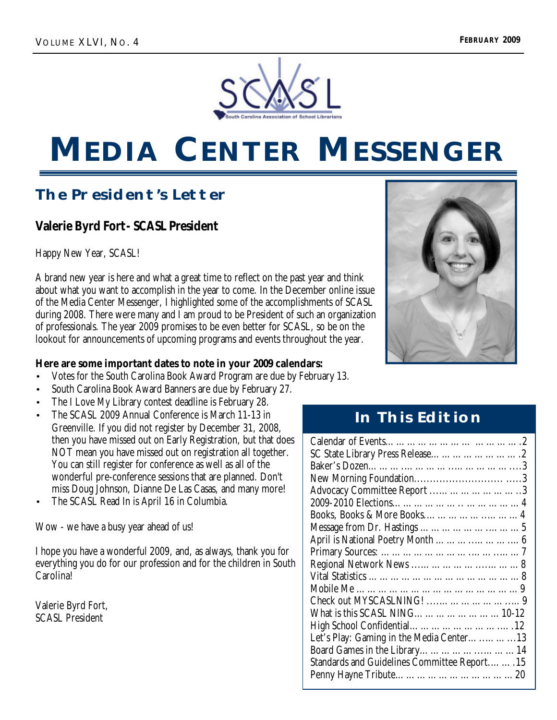

# **MEDIA CENTER MESSENGER**

## **The President's Letter**

## **Valerie Byrd Fort - SCASL President**

Happy New Year, SCASL!

A brand new year is here and what a great time to reflect on the past year and think about what you want to accomplish in the year to come. In the December online issue of the Media Center Messenger, I highlighted some of the accomplishments of SCASL during 2008. There were many and I am proud to be President of such an organization of professionals. The year 2009 promises to be even better for SCASL, so be on the lookout for announcements of upcoming programs and events throughout the year.

### **Here are some important dates to note in your 2009 calendars:**

- Votes for the South Carolina Book Award Program are due by February 13.
- South Carolina Book Award Banners are due by February 27.
- The I Love My Library contest deadline is February 28.
- The SCASL 2009 Annual Conference is March 11-13 in Greenville. If you did not register by December 31, 2008, then you have missed out on Early Registration, but that does NOT mean you have missed out on registration all together. You can still register for conference as well as all of the wonderful pre-conference sessions that are planned. Don't miss Doug Johnson, Dianne De Las Casas, and many more!
- The SCASL Read In is April 16 in Columbia.

Wow - we have a busy year ahead of us!

I hope you have a wonderful 2009, and, as always, thank you for everything you do for our profession and for the children in South Carolina!

Valerie Byrd Fort, SCASL President



## **In This Edition**

| Advocacy Committee Report 3                 |
|---------------------------------------------|
|                                             |
|                                             |
|                                             |
|                                             |
|                                             |
|                                             |
|                                             |
|                                             |
|                                             |
| What is this SCASL NING10-12                |
|                                             |
| Let's Play: Gaming in the Media Center13    |
|                                             |
| Standards and Guidelines Committee Report15 |
|                                             |
|                                             |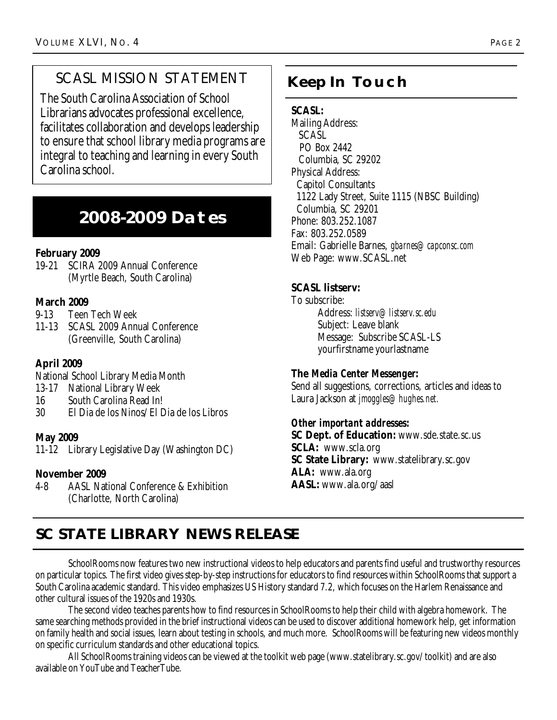## SCASL MISSION STATEMENT | **Keep In Touch**

The South Carolina Association of School Librarians advocates professional excellence, facilitates collaboration and develops leadership to ensure that school library media programs are integral to teaching and learning in every South Carolina school.

## **2008-2009 Dates**

## **February 2009**

19-21 SCIRA 2009 Annual Conference (Myrtle Beach, South Carolina)

## **March 2009**

- 9-13 Teen Tech Week
- 11-13 SCASL 2009 Annual Conference (Greenville, South Carolina)

## **April 2009**

National School Library Media Month

- 13-17 National Library Week
- 16 South Carolina Read In!
- 30 El Dia de los Ninos/El Dia de los Libros

## **May 2009**

11-12 Library Legislative Day (Washington DC)

## **November 2009**

4-8 AASL National Conference & Exhibition (Charlotte, North Carolina)

## **SCASL:**

Mailing Address: SCASL PO Box 2442 Columbia, SC 29202 Physical Address: Capitol Consultants 1122 Lady Street, Suite 1115 (NBSC Building) Columbia, SC 29201 Phone: 803.252.1087 Fax: 803.252.0589 Email: Gabrielle Barnes, *gbarnes@capconsc.com* Web Page: www.SCASL.net

## **SCASL listserv:**

To subscribe: Address: *listserv@listserv.sc.edu* Subject: Leave blank Message: Subscribe SCASL-LS yourfirstname yourlastname

## **The** *Media Center Messenger***:**

Send all suggestions, corrections, articles and ideas to Laura Jackson at *jmoggles@hughes.net.*

## *Other important addresses:*

**SC Dept. of Education:** www.sde.state.sc.us **SCLA:** www.scla.org **SC State Library:** www.statelibrary.sc.gov **ALA:** www.ala.org **AASL:** www.ala.org/aasl

## **SC STATE LIBRARY NEWS RELEASE**

SchoolRooms now features two new instructional videos to help educators and parents find useful and trustworthy resources on particular topics. The first video gives step-by-step instructions for educators to find resources within SchoolRooms that support a South Carolina academic standard. This video emphasizes US History standard 7.2, which focuses on the Harlem Renaissance and other cultural issues of the 1920s and 1930s.

The second video teaches parents how to find resources in SchoolRooms to help their child with algebra homework. The same searching methods provided in the brief instructional videos can be used to discover additional homework help, get information on family health and social issues, learn about testing in schools, and much more. SchoolRooms will be featuring new videos monthly on specific curriculum standards and other educational topics.

All SchoolRooms training videos can be viewed at the toolkit web page (www.statelibrary.sc.gov/toolkit) and are also available on YouTube and TeacherTube.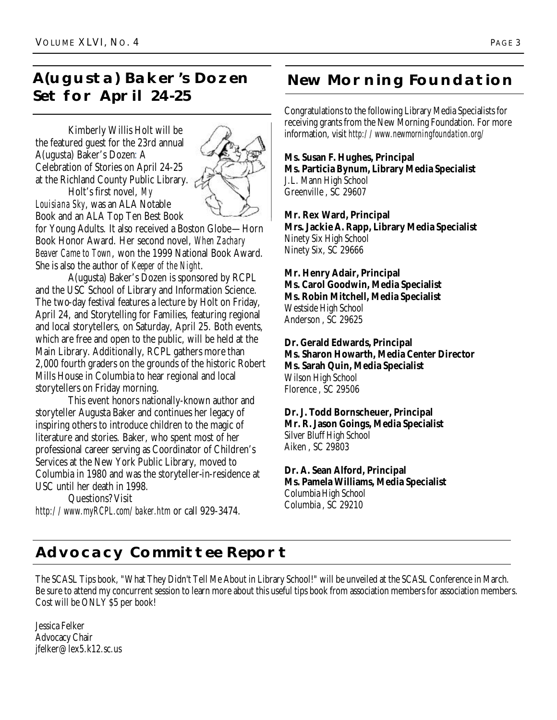## **A(ugusta) Baker's Dozen Set for April 24-25**

Kimberly Willis Holt will be the featured guest for the 23rd annual A(ugusta) Baker's Dozen: A Celebration of Stories on April 24-25 at the Richland County Public Library. Holt's first novel, *My Louisiana Sky*, was an ALA Notable

Book and an ALA Top Ten Best Book



for Young Adults. It also received a Boston Globe—Horn Book Honor Award. Her second novel, *When Zachary Beaver Came to Town*, won the 1999 National Book Award. She is also the author of *Keeper of the Night*.

A(ugusta) Baker's Dozen is sponsored by RCPL and the USC School of Library and Information Science. The two-day festival features a lecture by Holt on Friday, April 24, and Storytelling for Families, featuring regional and local storytellers, on Saturday, April 25. Both events, which are free and open to the public, will be held at the Main Library. Additionally, RCPL gathers more than 2,000 fourth graders on the grounds of the historic Robert Mills House in Columbia to hear regional and local storytellers on Friday morning.

This event honors nationally-known author and storyteller Augusta Baker and continues her legacy of inspiring others to introduce children to the magic of literature and stories. Baker, who spent most of her professional career serving as Coordinator of Children's Services at the New York Public Library, moved to Columbia in 1980 and was the storyteller-in-residence at USC until her death in 1998.

Questions? Visit *http://www.myRCPL.com/baker.htm* or call 929-3474.

## **New Morning Foundation**

Congratulations to the following Library Media Specialists for receiving grants from the New Morning Foundation. For more information, visit *http://www.newmorningfoundation.org/*

## **Ms. Susan F. Hughes, Principal**

**Ms. Particia Bynum, Library Media Specialist** J.L. Mann High School Greenville , SC 29607

**Mr. Rex Ward, Principal Mrs. Jackie A. Rapp, Library Media Specialist** Ninety Six High School Ninety Six, SC 29666

**Mr. Henry Adair, Principal Ms. Carol Goodwin, Media Specialist Ms. Robin Mitchell, Media Specialist** Westside High School Anderson , SC 29625

**Dr. Gerald Edwards, Principal Ms. Sharon Howarth, Media Center Director Ms. Sarah Quin, Media Specialist** Wilson High School Florence , SC 29506

**Dr. J. Todd Bornscheuer, Principal Mr. R. Jason Goings, Media Specialist** Silver Bluff High School

Aiken , SC 29803

## **Dr. A. Sean Alford, Principal Ms. Pamela Williams, Media Specialist**

Columbia High School Columbia , SC 29210

## **Advocacy Committee Report**

The SCASL Tips book, "What They Didn't Tell Me About in Library School!" will be unveiled at the SCASL Conference in March. Be sure to attend my concurrent session to learn more about this useful tips book from association members for association members. Cost will be ONLY \$5 per book!

Jessica Felker Advocacy Chair jfelker@lex5.k12.sc.us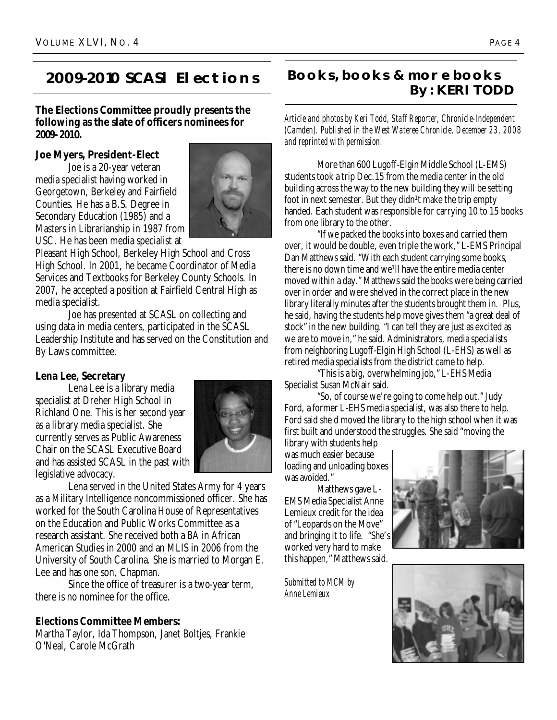## **2009-2010 SCASl Elections**

### **The Elections Committee proudly presents the following as the slate of officers nominees for 2009-2010.**

#### **Joe Myers, President-Elect**

Joe is a 20-year veteran media specialist having worked in Georgetown, Berkeley and Fairfield Counties. He has a B.S. Degree in Secondary Education (1985) and a Masters in Librarianship in 1987 from USC. He has been media specialist at



Pleasant High School, Berkeley High School and Cross High School. In 2001, he became Coordinator of Media Services and Textbooks for Berkeley County Schools. In 2007, he accepted a position at Fairfield Central High as media specialist.

Joe has presented at SCASL on collecting and using data in media centers, participated in the SCASL Leadership Institute and has served on the Constitution and By Laws committee.

#### **Lena Lee, Secretary**

Lena Lee is a library media specialist at Dreher High School in Richland One. This is her second year as a library media specialist. She currently serves as Public Awareness Chair on the SCASL Executive Board and has assisted SCASL in the past with legislative advocacy.



Lena served in the United States Army for 4 years as a Military Intelligence noncommissioned officer. She has worked for the South Carolina House of Representatives on the Education and Public Works Committee as a research assistant. She received both a BA in African American Studies in 2000 and an MLIS in 2006 from the University of South Carolina. She is married to Morgan E. Lee and has one son, Chapman.

Since the office of treasurer is a two-year term, there is no nominee for the office.

### **Elections Committee Members:**

Martha Taylor, Ida Thompson, Janet Boltjes, Frankie O'Neal, Carole McGrath

## **Books, books & more books By: KERI TODD**

*Article and photos by Keri Todd, Staff Reporter, Chronicle-Independent (Camden). Published in the West Wateree Chronicle, December 23, 2008 and reprinted with permission.* 

More than 600 Lugoff-Elgin Middle School (L-EMS) students took a trip Dec.15 from the media center in the old building across the way to the new building they will be setting foot in next semester. But they didn<sup>1</sup>t make the trip empty handed. Each student was responsible for carrying 10 to 15 books from one library to the other.

"If we packed the books into boxes and carried them over, it would be double, even triple the work," L-EMS Principal Dan Matthews said. "With each student carrying some books, there is no down time and we<sup>1</sup>ll have the entire media center moved within a day." Matthews said the books were being carried over in order and were shelved in the correct place in the new library literally minutes after the students brought them in. Plus, he said, having the students help move gives them "a great deal of stock" in the new building. "I can tell they are just as excited as we are to move in," he said. Administrators, media specialists from neighboring Lugoff-Elgin High School (L-EHS) as well as retired media specialists from the district came to help.

"This is a big, overwhelming job," L-EHS Media Specialist Susan McNair said.

"So, of course we're going to come help out." Judy Ford, a former L-EHS media specialist, was also there to help. Ford said she d moved the library to the high school when it was first built and understood the struggles. She said "moving the

library with students help was much easier because loading and unloading boxes was avoided."

Matthews gave L-EMS Media Specialist Anne Lemieux credit for the idea of "Leopards on the Move" and bringing it to life. "She's worked very hard to make this happen," Matthews said.

*Submitted to MCM by Anne Lemieux*



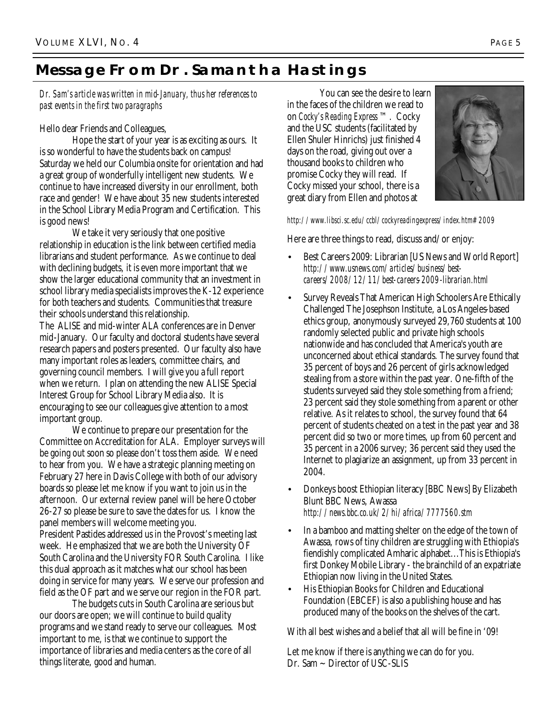## **Message From Dr. Samantha Hastings**

*Dr. Sam's article was written in mid-January, thus her references to past events in the first two paragraphs*

Hello dear Friends and Colleagues,

Hope the start of your year is as exciting as ours. It is so wonderful to have the students back on campus! Saturday we held our Columbia onsite for orientation and had a great group of wonderfully intelligent new students. We continue to have increased diversity in our enrollment, both race and gender! We have about 35 new students interested in the School Library Media Program and Certification. This is good news!

We take it very seriously that one positive relationship in education is the link between certified media librarians and student performance. As we continue to deal with declining budgets, it is even more important that we show the larger educational community that an investment in school library media specialists improves the K-12 experience for both teachers and students. Communities that treasure their schools understand this relationship.

The ALISE and mid-winter ALA conferences are in Denver mid-January. Our faculty and doctoral students have several research papers and posters presented. Our faculty also have many important roles as leaders, committee chairs, and governing council members. I will give you a full report when we return. I plan on attending the new ALISE Special Interest Group for School Library Media also. It is encouraging to see our colleagues give attention to a most important group.

We continue to prepare our presentation for the Committee on Accreditation for ALA. Employer surveys will be going out soon so please don't toss them aside. We need to hear from you. We have a strategic planning meeting on February 27 here in Davis College with both of our advisory boards so please let me know if you want to join us in the afternoon. Our external review panel will be here October 26-27 so please be sure to save the dates for us. I know the panel members will welcome meeting you. President Pastides addressed us in the Provost's meeting last week. He emphasized that we are both the University OF South Carolina and the University FOR South Carolina. I like this dual approach as it matches what our school has been doing in service for many years. We serve our profession and field as the OF part and we serve our region in the FOR part.

The budgets cuts in South Carolina are serious but our doors are open; we will continue to build quality programs and we stand ready to serve our colleagues. Most important to me, is that we continue to support the importance of libraries and media centers as the core of all things literate, good and human.

You can see the desire to learn in the faces of the children we read to on *Cocky's Reading Express* ™. Cocky and the USC students (facilitated by Ellen Shuler Hinrichs) just finished 4 days on the road, giving out over a thousand books to children who promise Cocky they will read. If Cocky missed your school, there is a great diary from Ellen and photos at



*http://www.libsci.sc.edu/ccbl/cockyreadingexpress/index.htm#2009*

Here are three things to read, discuss and/or enjoy:

- Best Careers 2009: Librarian [US News and World Report] *http://www.usnews.com/articles/business/bestcareers/2008/12/11/best-careers-2009-librarian.html*
- Survey Reveals That American High Schoolers Are Ethically Challenged The Josephson Institute, a Los Angeles-based ethics group, anonymously surveyed 29,760 students at 100 randomly selected public and private high schools nationwide and has concluded that America's youth are unconcerned about ethical standards. The survey found that 35 percent of boys and 26 percent of girls acknowledged stealing from a store within the past year. One-fifth of the students surveyed said they stole something from a friend; 23 percent said they stole something from a parent or other relative. As it relates to school, the survey found that 64 percent of students cheated on a test in the past year and 38 percent did so two or more times, up from 60 percent and 35 percent in a 2006 survey; 36 percent said they used the Internet to plagiarize an assignment, up from 33 percent in 2004.
- Donkeys boost Ethiopian literacy [BBC News] By Elizabeth Blunt BBC News, Awassa *http://news.bbc.co.uk/2/hi/africa/7777560.stm*
- In a bamboo and matting shelter on the edge of the town of Awassa, rows of tiny children are struggling with Ethiopia's fiendishly complicated Amharic alphabet...This is Ethiopia's first Donkey Mobile Library - the brainchild of an expatriate Ethiopian now living in the United States.
- His Ethiopian Books for Children and Educational Foundation (EBCEF) is also a publishing house and has produced many of the books on the shelves of the cart.

With all best wishes and a belief that all will be fine in '09!

Let me know if there is anything we can do for you. Dr. Sam ~ Director of USC-SLIS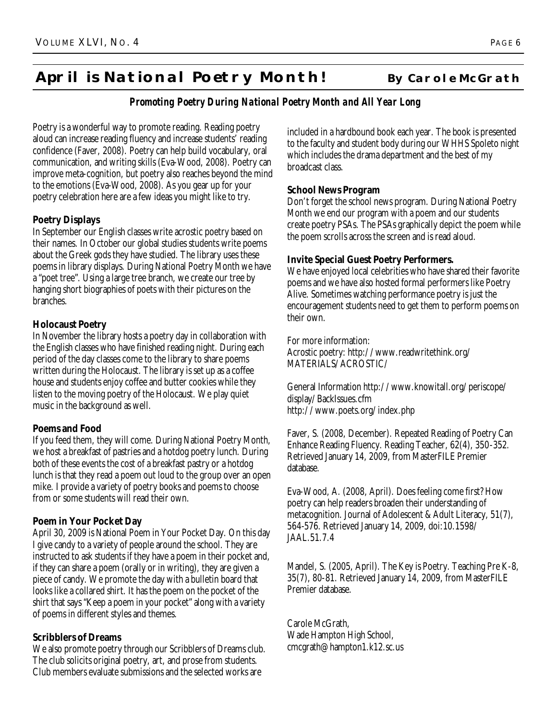## **April is National Poetry Month! By Carole McGrath**

## *Promoting Poetry During National Poetry Month and All Year Long*

Poetry is a wonderful way to promote reading. Reading poetry aloud can increase reading fluency and increase students' reading confidence (Faver, 2008). Poetry can help build vocabulary, oral communication, and writing skills (Eva-Wood, 2008). Poetry can improve meta-cognition, but poetry also reaches beyond the mind to the emotions (Eva-Wood, 2008). As you gear up for your poetry celebration here are a few ideas you might like to try.

### **Poetry Displays**

In September our English classes write acrostic poetry based on their names. In October our global studies students write poems about the Greek gods they have studied. The library uses these poems in library displays. During National Poetry Month we have a "poet tree". Using a large tree branch, we create our tree by hanging short biographies of poets with their pictures on the branches.

### **Holocaust Poetry**

In November the library hosts a poetry day in collaboration with the English classes who have finished reading night. During each period of the day classes come to the library to share poems written during the Holocaust. The library is set up as a coffee house and students enjoy coffee and butter cookies while they listen to the moving poetry of the Holocaust. We play quiet music in the background as well.

## **Poems and Food**

If you feed them, they will come. During National Poetry Month, we host a breakfast of pastries and a hotdog poetry lunch. During both of these events the cost of a breakfast pastry or a hotdog lunch is that they read a poem out loud to the group over an open mike. I provide a variety of poetry books and poems to choose from or some students will read their own.

## **Poem in Your Pocket Day**

April 30, 2009 is National Poem in Your Pocket Day. On this day I give candy to a variety of people around the school. They are instructed to ask students if they have a poem in their pocket and, if they can share a poem (orally or in writing), they are given a piece of candy. We promote the day with a bulletin board that looks like a collared shirt. It has the poem on the pocket of the shirt that says "Keep a poem in your pocket" along with a variety of poems in different styles and themes.

## **Scribblers of Dreams**

We also promote poetry through our Scribblers of Dreams club. The club solicits original poetry, art, and prose from students. Club members evaluate submissions and the selected works are

included in a hardbound book each year. The book is presented to the faculty and student body during our WHHS Spoleto night which includes the drama department and the best of my broadcast class.

### **School News Program**

Don't forget the school news program. During National Poetry Month we end our program with a poem and our students create poetry PSAs. The PSAs graphically depict the poem while the poem scrolls across the screen and is read aloud.

### **Invite Special Guest Poetry Performers.**

We have enjoyed local celebrities who have shared their favorite poems and we have also hosted formal performers like Poetry Alive. Sometimes watching performance poetry is just the encouragement students need to get them to perform poems on their own.

For more information: Acrostic poetry: http://www.readwritethink.org/ MATERIALS/ACROSTIC/

General Information http://www.knowitall.org/periscope/ display/BackIssues.cfm http://www.poets.org/index.php

Faver, S. (2008, December). Repeated Reading of Poetry Can Enhance Reading Fluency. Reading Teacher, 62(4), 350-352. Retrieved January 14, 2009, from MasterFILE Premier database.

Eva-Wood, A. (2008, April). Does feeling come first? How poetry can help readers broaden their understanding of metacognition. Journal of Adolescent & Adult Literacy, 51(7), 564-576. Retrieved January 14, 2009, doi:10.1598/ JAAL.51.7.4

Mandel, S. (2005, April). The Key is Poetry. Teaching Pre K-8, 35(7), 80-81. Retrieved January 14, 2009, from MasterFILE Premier database.

Carole McGrath, Wade Hampton High School, cmcgrath@hampton1.k12.sc.us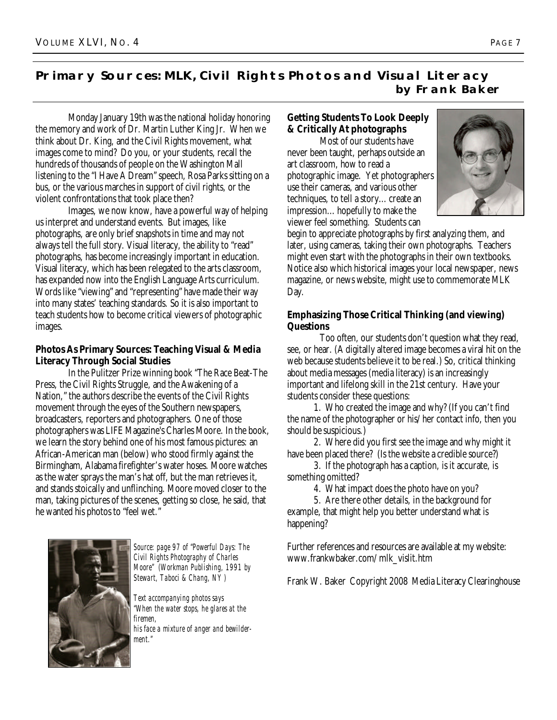## **Primary Sources: MLK, Civil Rights Photos and Visual Literacy by Frank Baker**

Monday January 19th was the national holiday honoring the memory and work of Dr. Martin Luther King Jr. When we think about Dr. King, and the Civil Rights movement, what images come to mind? Do you, or your students, recall the hundreds of thousands of people on the Washington Mall listening to the "I Have A Dream" speech, Rosa Parks sitting on a bus, or the various marches in support of civil rights, or the violent confrontations that took place then?

Images, we now know, have a powerful way of helping us interpret and understand events. But images, like photographs, are only brief snapshots in time and may not always tell the full story. Visual literacy, the ability to "read" photographs, has become increasingly important in education. Visual literacy, which has been relegated to the arts classroom, has expanded now into the English Language Arts curriculum. Words like "viewing" and "representing" have made their way into many states' teaching standards. So it is also important to teach students how to become critical viewers of photographic images.

## **Photos As Primary Sources: Teaching Visual & Media Literacy Through Social Studies**

In the Pulitzer Prize winning book "The Race Beat-The Press, the Civil Rights Struggle, and the Awakening of a Nation," the authors describe the events of the Civil Rights movement through the eyes of the Southern newspapers, broadcasters, reporters and photographers. One of those photographers was LIFE Magazine's Charles Moore. In the book, we learn the story behind one of his most famous pictures: an African-American man (below) who stood firmly against the Birmingham, Alabama firefighter's water hoses. Moore watches as the water sprays the man's hat off, but the man retrieves it, and stands stoically and unflinching. Moore moved closer to the man, taking pictures of the scenes, getting so close, he said, that he wanted his photos to "feel wet."

*Source: page 97 of "Powerful Days: The Civil Rights Photography of Charles Moore" (Workman Publishing, 1991 by Stewart, Taboci & Chang, NY )*

*Text accompanying photos says "When the water stops, he glares at the firemen, his face a mixture of anger and bewilderment."*

## **Getting Students To Look Deeply & Critically At photographs**

Most of our students have never been taught, perhaps outside an art classroom, how to read a photographic image. Yet photographers use their cameras, and various other techniques, to tell a story…create an impression…hopefully to make the viewer feel something. Students can



begin to appreciate photographs by first analyzing them, and later, using cameras, taking their own photographs. Teachers might even start with the photographs in their own textbooks. Notice also which historical images your local newspaper, news magazine, or news website, might use to commemorate MLK Day.

### **Emphasizing Those Critical Thinking (and viewing) Questions**

Too often, our students don't question what they read, see, or hear. (A digitally altered image becomes a viral hit on the web because students believe it to be real.) So, critical thinking about media messages (media literacy) is an increasingly important and lifelong skill in the 21st century. Have your students consider these questions:

 1. Who created the image and why? (If you can't find the name of the photographer or his/her contact info, then you should be suspicious.)

 2. Where did you first see the image and why might it have been placed there? (Is the website a credible source?)

 3. If the photograph has a caption, is it accurate, is something omitted?

4. What impact does the photo have on you?

 5. Are there other details, in the background for example, that might help you better understand what is happening?

Further references and resources are available at my website: www.frankwbaker.com/mlk\_vislit.htm

Frank W. Baker Copyright 2008 Media Literacy Clearinghouse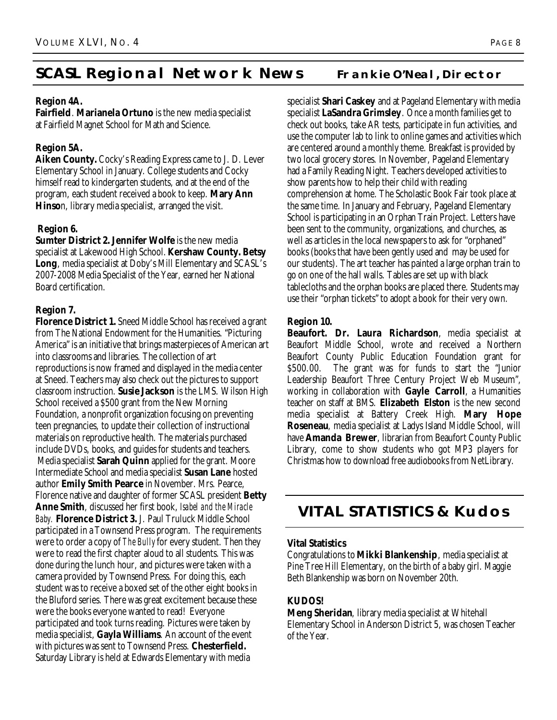## **SCASL Regional Network News** Frankie O'Neal, Director

### **Region 4A.**

**Fairfield**. **Marianela Ortuno** is the new media specialist at Fairfield Magnet School for Math and Science.

## **Region 5A.**

**Aiken County.** Cocky's Reading Express came to J. D. Lever Elementary School in January. College students and Cocky himself read to kindergarten students, and at the end of the program, each student received a book to keep. **Mary Ann Hinso**n, library media specialist, arranged the visit.

## **Region 6.**

**Sumter District 2. Jennifer Wolfe** is the new media specialist at Lakewood High School. **Kershaw County. Betsy Long**, media specialist at Doby's Mill Elementary and SCASL's 2007-2008 Media Specialist of the Year, earned her National Board certification.

## **Region 7.**

**Florence District 1.** Sneed Middle School has received a grant from The National Endowment for the Humanities. "Picturing America" is an initiative that brings masterpieces of American art into classrooms and libraries. The collection of art reproductions is now framed and displayed in the media center at Sneed.Teachers may also check out the pictures to support classroom instruction. **Susie Jackson** is the LMS. Wilson High School received a \$500 grant from the New Morning Foundation, a nonprofit organization focusing on preventing teen pregnancies, to update their collection of instructional materials on reproductive health. The materials purchased include DVDs, books, and guides for students and teachers. Media specialist **Sarah Quinn** applied for the grant. Moore Intermediate School and media specialist **Susan Lane** hosted author **Emily Smith Pearce** in November. Mrs. Pearce, Florence native and daughter of former SCASL president **Betty Anne Smith**, discussed her first book, *Isabel and the Miracle Baby.* **Florence District 3.** J. Paul Truluck Middle School participated in a Townsend Press program. The requirements were to order a copy of *The Bully* for every student. Then they were to read the first chapter aloud to all students. This was done during the lunch hour, and pictures were taken with a camera provided by Townsend Press. For doing this, each student was to receive a boxed set of the other eight books in the Bluford series. There was great excitement because these were the books everyone wanted to read! Everyone participated and took turns reading. Pictures were taken by media specialist, **Gayla Williams**. An account of the event with pictures was sent to Townsend Press. **Chesterfield.** Saturday Library is held at Edwards Elementary with media

specialist **Shari Caskey** and at Pageland Elementary with media specialist **LaSandra Grimsley**. Once a month families get to check out books, take AR tests, participate in fun activities, and use the computer lab to link to online games and activities which are centered around a monthly theme. Breakfast is provided by two local grocery stores. In November, Pageland Elementary had a Family Reading Night. Teachers developed activities to show parents how to help their child with reading comprehension at home. The Scholastic Book Fair took place at the same time. In January and February, Pageland Elementary School is participating in an Orphan Train Project. Letters have been sent to the community, organizations, and churches, as well as articles in the local newspapers to ask for "orphaned" books (books that have been gently used and may be used for our students). The art teacher has painted a large orphan train to go on one of the hall walls. Tables are set up with black tablecloths and the orphan books are placed there. Students may use their "orphan tickets" to adopt a book for their very own.

### **Region 10.**

**Beaufort. Dr. Laura Richardson**, media specialist at Beaufort Middle School, wrote and received a Northern Beaufort County Public Education Foundation grant for \$500.00. The grant was for funds to start the "Junior Leadership Beaufort Three Century Project Web Museum", working in collaboration with **Gayle Carroll**, a Humanities teacher on staff at BMS. **Elizabeth Elston** is the new second media specialist at Battery Creek High. **Mary Hope Roseneau**, media specialist at Ladys Island Middle School, will have **Amanda Brewer**, librarian from Beaufort County Public Library, come to show students who got MP3 players for Christmas how to download free audiobooks from NetLibrary.

## **VITAL STATISTICS & Kudos**

### **Vital Statistics**

Congratulations to **Mikki Blankenship**, media specialist at Pine Tree Hill Elementary, on the birth of a baby girl. Maggie Beth Blankenship was born on November 20th.

## **KUDOS!**

**Meng Sheridan**, library media specialist at Whitehall Elementary School in Anderson District 5, was chosen Teacher of the Year.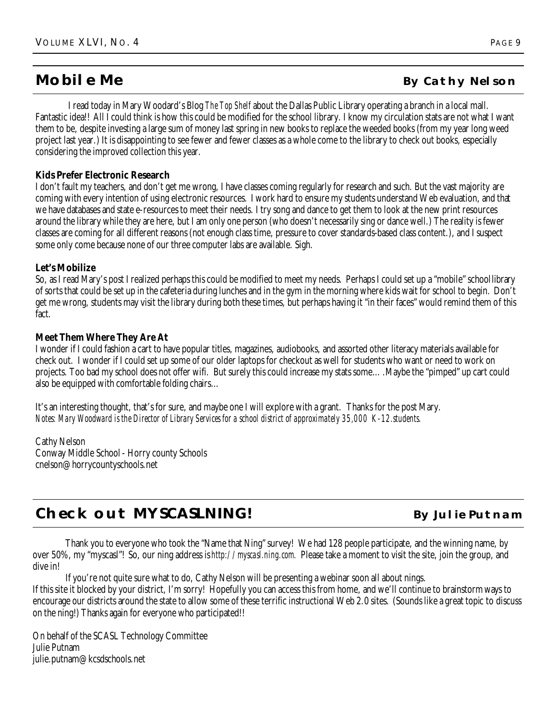I read today in Mary Woodard's Blog *The Top Shelf* about the Dallas Public Library operating a branch in a local mall. Fantastic idea!! All I could think is how this could be modified for the school library. I know my circulation stats are not what I want them to be, despite investing a large sum of money last spring in new books to replace the weeded books (from my year long weed project last year.) It is disappointing to see fewer and fewer classes as a whole come to the library to check out books, especially considering the improved collection this year.

#### **Kids Prefer Electronic Research**

I don't fault my teachers, and don't get me wrong, I have classes coming regularly for research and such. But the vast majority are coming with every intention of using electronic resources. I work hard to ensure my students understand Web evaluation, and that we have databases and state e-resources to meet their needs. I try song and dance to get them to look at the new print resources around the library while they are here, but I am only one person (who doesn't necessarily sing or dance well.) The reality is fewer classes are coming for all different reasons (not enough class time, pressure to cover standards-based class content.), and I suspect some only come because none of our three computer labs are available. Sigh.

#### **Let's Mobilize**

So, as I read Mary's post I realized perhaps this could be modified to meet my needs. Perhaps I could set up a "mobile" school library of sorts that could be set up in the cafeteria during lunches and in the gym in the morning where kids wait for school to begin. Don't get me wrong, students may visit the library during both these times, but perhaps having it "in their faces" would remind them of this fact.

#### **Meet Them Where They Are At**

I wonder if I could fashion a cart to have popular titles, magazines, audiobooks, and assorted other literacy materials available for check out. I wonder if I could set up some of our older laptops for checkout as well for students who want or need to work on projects. Too bad my school does not offer wifi. But surely this could increase my stats some….Maybe the "pimped" up cart could also be equipped with comfortable folding chairs…

It's an interesting thought, that's for sure, and maybe one I will explore with a grant. Thanks for the post Mary. *Notes: Mary Woodward is the Director of Library Services for a school district of approximately 35,000 K-12.students.* 

Cathy Nelson Conway Middle School - Horry county Schools cnelson@horrycountyschools.net

## **Check out MYSCASLNING! By Julie Putnam**

Thank you to everyone who took the "Name that Ning" survey! We had 128 people participate, and the winning name, by over 50%, my "myscasl"! So, our ning address is *http://myscasl.ning.com.* Please take a moment to visit the site, join the group, and dive in!

If you're not quite sure what to do, Cathy Nelson will be presenting a webinar soon all about nings.

If this site it blocked by your district, I'm sorry! Hopefully you can access this from home, and we'll continue to brainstorm ways to encourage our districts around the state to allow some of these terrific instructional Web 2.0 sites. (Sounds like a great topic to discuss on the ning!) Thanks again for everyone who participated!!

On behalf of the SCASL Technology Committee Julie Putnam julie.putnam@kcsdschools.net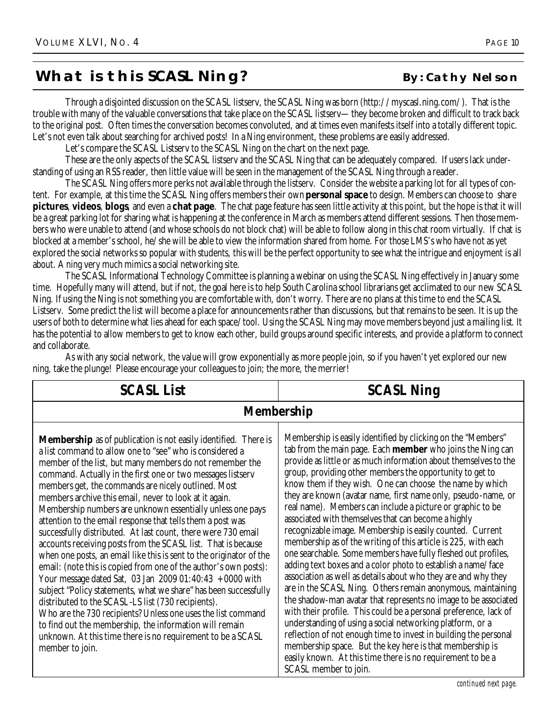## **What is this SCASL Ning?** By: Cathy Nelson

Through a disjointed discussion on the SCASL listserv, the SCASL Ning was born (http://myscasl.ning.com/). That is the trouble with many of the valuable conversations that take place on the SCASL listserv—they become broken and difficult to track back to the original post. Often times the conversation becomes convoluted, and at times even manifests itself into a totally different topic. Let's not even talk about searching for archived posts! In a Ning environment, these problems are easily addressed.

Let's compare the SCASL Listserv to the SCASL Ning on the chart on the next page.

These are the only aspects of the SCASL listserv and the SCASL Ning that can be adequately compared. If users lack understanding of using an RSS reader, then little value will be seen in the management of the SCASL Ning through a reader.

The SCASL Ning offers more perks not available through the listserv. Consider the website a parking lot for all types of content. For example, at this time the SCASL Ning offers members their own **personal space** to design. Members can choose to share **pictures**, **videos**, **blogs**, and even a **chat page**. The chat page feature has seen little activity at this point, but the hope is that it will be a great parking lot for sharing what is happening at the conference in March as members attend different sessions. Then those members who were unable to attend (and whose schools do not block chat) will be able to follow along in this chat room virtually. If chat is blocked at a member's school, he/she will be able to view the information shared from home. For those LMS's who have not as yet explored the social networks so popular with students, this will be the perfect opportunity to see what the intrigue and enjoyment is all about. A ning very much mimics a social networking site.

The SCASL Informational Technology Committee is planning a webinar on using the SCASL Ning effectively in January some time. Hopefully many will attend, but if not, the goal here is to help South Carolina school librarians get acclimated to our new SCASL Ning. If using the Ning is not something you are comfortable with, don't worry. There are no plans at this time to end the SCASL Listserv. Some predict the list will become a place for announcements rather than discussions, but that remains to be seen. It is up the users of both to determine what lies ahead for each space/tool. Using the SCASL Ning may move members beyond just a mailing list. It has the potential to allow members to get to know each other, build groups around specific interests, and provide a platform to connect and collaborate.

| <b>SCASL List</b>                                                                                                                                                                                                                                                                                                                                                                                                                                                                                                                                                                                                                                                                                                                                                                                                                                                                                                                                                                                                                                                                                                                                                                           | <b>SCASL Ning</b>                                                                                                                                                                                                                                                                                                                                                                                                                                                                                                                                                                                                                                                                                                                                                                                                                                                                                                                                                                                                                                                                                                                                                                                                                                                                                                                               |  |
|---------------------------------------------------------------------------------------------------------------------------------------------------------------------------------------------------------------------------------------------------------------------------------------------------------------------------------------------------------------------------------------------------------------------------------------------------------------------------------------------------------------------------------------------------------------------------------------------------------------------------------------------------------------------------------------------------------------------------------------------------------------------------------------------------------------------------------------------------------------------------------------------------------------------------------------------------------------------------------------------------------------------------------------------------------------------------------------------------------------------------------------------------------------------------------------------|-------------------------------------------------------------------------------------------------------------------------------------------------------------------------------------------------------------------------------------------------------------------------------------------------------------------------------------------------------------------------------------------------------------------------------------------------------------------------------------------------------------------------------------------------------------------------------------------------------------------------------------------------------------------------------------------------------------------------------------------------------------------------------------------------------------------------------------------------------------------------------------------------------------------------------------------------------------------------------------------------------------------------------------------------------------------------------------------------------------------------------------------------------------------------------------------------------------------------------------------------------------------------------------------------------------------------------------------------|--|
| <b>Membership</b>                                                                                                                                                                                                                                                                                                                                                                                                                                                                                                                                                                                                                                                                                                                                                                                                                                                                                                                                                                                                                                                                                                                                                                           |                                                                                                                                                                                                                                                                                                                                                                                                                                                                                                                                                                                                                                                                                                                                                                                                                                                                                                                                                                                                                                                                                                                                                                                                                                                                                                                                                 |  |
| <b>Membership</b> as of publication is not easily identified. There is<br>a list command to allow one to "see" who is considered a<br>member of the list, but many members do not remember the<br>command. Actually in the first one or two messages listserv<br>members get, the commands are nicely outlined. Most<br>members archive this email, never to look at it again.<br>Membership numbers are unknown essentially unless one pays<br>attention to the email response that tells them a post was<br>successfully distributed. At last count, there were 730 email<br>accounts receiving posts from the SCASL list. That is because<br>when one posts, an email like this is sent to the originator of the<br>email: (note this is copied from one of the author's own posts):<br>Your message dated Sat, 03 Jan 2009 01:40:43 $+0000$ with<br>subject "Policy statements, what we share" has been successfully<br>distributed to the SCASL-LS list (730 recipients).<br>Who are the 730 recipients? Unless one uses the list command<br>to find out the membership, the information will remain<br>unknown. At this time there is no requirement to be a SCASL<br>member to join. | Membership is easily identified by clicking on the "Members"<br>tab from the main page. Each <b>member</b> who joins the Ning can<br>provide as little or as much information about themselves to the<br>group, providing other members the opportunity to get to<br>know them if they wish. One can choose the name by which<br>they are known (avatar name, first name only, pseudo-name, or<br>real name). Members can include a picture or graphic to be<br>associated with themselves that can become a highly<br>recognizable image. Membership is easily counted. Current<br>membership as of the writing of this article is 225, with each<br>one searchable. Some members have fully fleshed out profiles,<br>adding text boxes and a color photo to establish a name/face<br>association as well as details about who they are and why they<br>are in the SCASL Ning. Others remain anonymous, maintaining<br>the shadow-man avatar that represents no image to be associated<br>with their profile. This could be a personal preference, lack of<br>understanding of using a social networking platform, or a<br>reflection of not enough time to invest in building the personal<br>membership space. But the key here is that membership is<br>easily known. At this time there is no requirement to be a<br>SCASL member to join. |  |

As with any social network, the value will grow exponentially as more people join, so if you haven't yet explored our new ning, take the plunge! Please encourage your colleagues to join; the more, the merrier!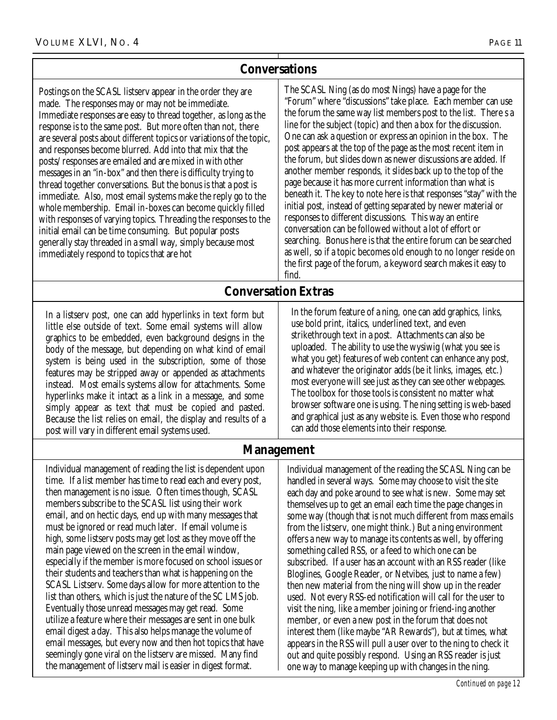## **Conversations**

Postings on the SCASL listserv appear in the order they are made. The responses may or may not be immediate. Immediate responses are easy to thread together, as long as the response is to the same post. But more often than not, there are several posts about different topics or variations of the topic, and responses become blurred. Add into that mix that the posts/responses are emailed and are mixed in with other messages in an "in-box" and then there is difficulty trying to thread together conversations. But the bonus is that a post is immediate. Also, most email systems make the reply go to the whole membership. Email in-boxes can become quickly filled with responses of varying topics. Threading the responses to the initial email can be time consuming. But popular posts generally stay threaded in a small way, simply because most immediately respond to topics that are hot

The SCASL Ning (as do most Nings) have a page for the "Forum" where "discussions" take place. Each member can use the forum the same way list members post to the list. There s a line for the subject (topic) and then a box for the discussion. One can ask a question or express an opinion in the box. The post appears at the top of the page as the most recent item in the forum, but slides down as newer discussions are added. If another member responds, it slides back up to the top of the page because it has more current information than what is beneath it. The key to note here is that responses "stay" with the initial post, instead of getting separated by newer material or responses to different discussions. This way an entire conversation can be followed without a lot of effort or searching. Bonus here is that the entire forum can be searched as well, so if a topic becomes old enough to no longer reside on the first page of the forum, a keyword search makes it easy to find.

## **Conversation Extras**

In a listserv post, one can add hyperlinks in text form but little else outside of text. Some email systems will allow graphics to be embedded, even background designs in the body of the message, but depending on what kind of email system is being used in the subscription, some of those features may be stripped away or appended as attachments instead. Most emails systems allow for attachments. Some hyperlinks make it intact as a link in a message, and some simply appear as text that must be copied and pasted. Because the list relies on email, the display and results of a post will vary in different email systems used.

In the forum feature of a ning, one can add graphics, links, use bold print, italics, underlined text, and even strikethrough text in a post. Attachments can also be uploaded. The ability to use the wysiwig (what you see is what you get) features of web content can enhance any post, and whatever the originator adds (be it links, images, etc.) most everyone will see just as they can see other webpages. The toolbox for those tools is consistent no matter what browser software one is using. The ning setting is web-based and graphical just as any website is. Even those who respond can add those elements into their response.

## **Management**

Individual management of reading the list is dependent upon time. If a list member has time to read each and every post, then management is no issue. Often times though, SCASL members subscribe to the SCASL list using their work email, and on hectic days, end up with many messages that must be ignored or read much later. If email volume is high, some listserv posts may get lost as they move off the main page viewed on the screen in the email window, especially if the member is more focused on school issues or their students and teachers than what is happening on the SCASL Listserv. Some days allow for more attention to the list than others, which is just the nature of the SC LMS job. Eventually those unread messages may get read. Some utilize a feature where their messages are sent in one bulk email digest a day. This also helps manage the volume of email messages, but every now and then hot topics that have seemingly gone viral on the listserv are missed. Many find the management of listserv mail is easier in digest format.

Individual management of the reading the SCASL Ning can be handled in several ways. Some may choose to visit the site each day and poke around to see what is new. Some may set themselves up to get an email each time the page changes in some way (though that is not much different from mass emails from the listserv, one might think.) But a ning environment offers a new way to manage its contents as well, by offering something called RSS, or a feed to which one can be subscribed. If a user has an account with an RSS reader (like Bloglines, Google Reader, or Netvibes, just to name a few) then new material from the ning will show up in the reader used. Not every RSS-ed notification will call for the user to visit the ning, like a member joining or friend-ing another member, or even a new post in the forum that does not interest them (like maybe "AR Rewards"), but at times, what appears in the RSS will pull a user over to the ning to check it out and quite possibly respond. Using an RSS reader is just one way to manage keeping up with changes in the ning.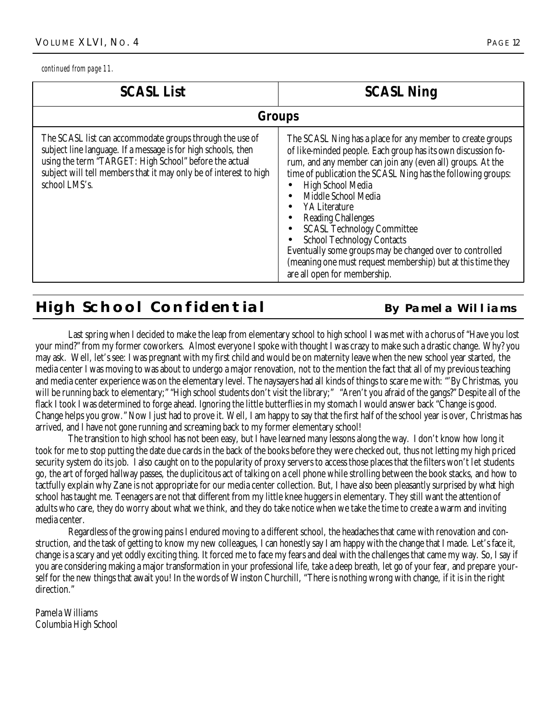*continued from page 11.*

| <b>SCASL List</b>                                                                                                                                                                                                                                                         | <b>SCASL Ning</b>                                                                                                                                                                                                                                                                                                                                                                                                                                                                                                                                                                       |  |
|---------------------------------------------------------------------------------------------------------------------------------------------------------------------------------------------------------------------------------------------------------------------------|-----------------------------------------------------------------------------------------------------------------------------------------------------------------------------------------------------------------------------------------------------------------------------------------------------------------------------------------------------------------------------------------------------------------------------------------------------------------------------------------------------------------------------------------------------------------------------------------|--|
| <b>Groups</b>                                                                                                                                                                                                                                                             |                                                                                                                                                                                                                                                                                                                                                                                                                                                                                                                                                                                         |  |
| The SCASL list can accommodate groups through the use of<br>subject line language. If a message is for high schools, then<br>using the term "TARGET: High School" before the actual<br>subject will tell members that it may only be of interest to high<br>school LMS's. | The SCASL Ning has a place for any member to create groups<br>of like-minded people. Each group has its own discussion fo-<br>rum, and any member can join any (even all) groups. At the<br>time of publication the SCASL Ning has the following groups:<br>High School Media<br>Middle School Media<br>YA Literature<br><b>Reading Challenges</b><br><b>SCASL Technology Committee</b><br><b>School Technology Contacts</b><br>Eventually some groups may be changed over to controlled<br>(meaning one must request membership) but at this time they<br>are all open for membership. |  |

## **High School Confidential By Pamela Williams**

Last spring when I decided to make the leap from elementary school to high school I was met with a chorus of "Have you lost your mind?" from my former coworkers. Almost everyone I spoke with thought I was crazy to make such a drastic change. Why? you may ask. Well, let's see: I was pregnant with my first child and would be on maternity leave when the new school year started, the media center I was moving to was about to undergo a major renovation, not to the mention the fact that all of my previous teaching and media center experience was on the elementary level. The naysayers had all kinds of things to scare me with: "'By Christmas, you will be running back to elementary;" "High school students don't visit the library;" "Aren't you afraid of the gangs?" Despite all of the flack I took I was determined to forge ahead. Ignoring the little butterflies in my stomach I would answer back "Change is good. Change helps you grow." Now I just had to prove it. Well, I am happy to say that the first half of the school year is over, Christmas has arrived, and I have not gone running and screaming back to my former elementary school!

The transition to high school has not been easy, but I have learned many lessons along the way. I don't know how long it took for me to stop putting the date due cards in the back of the books before they were checked out, thus not letting my high priced security system do its job. I also caught on to the popularity of proxy servers to access those places that the filters won't let students go, the art of forged hallway passes, the duplicitous act of talking on a cell phone while strolling between the book stacks, and how to tactfully explain why Zane is not appropriate for our media center collection. But, I have also been pleasantly surprised by what high school has taught me. Teenagers are not that different from my little knee huggers in elementary. They still want the attention of adults who care, they do worry about what we think, and they do take notice when we take the time to create a warm and inviting media center.

Regardless of the growing pains I endured moving to a different school, the headaches that came with renovation and construction, and the task of getting to know my new colleagues, I can honestly say I am happy with the change that I made. Let's face it, change is a scary and yet oddly exciting thing. It forced me to face my fears and deal with the challenges that came my way. So, I say if you are considering making a major transformation in your professional life, take a deep breath, let go of your fear, and prepare yourself for the new things that await you! In the words of Winston Churchill, "There is nothing wrong with change, if it is in the right direction."

Pamela Williams Columbia High School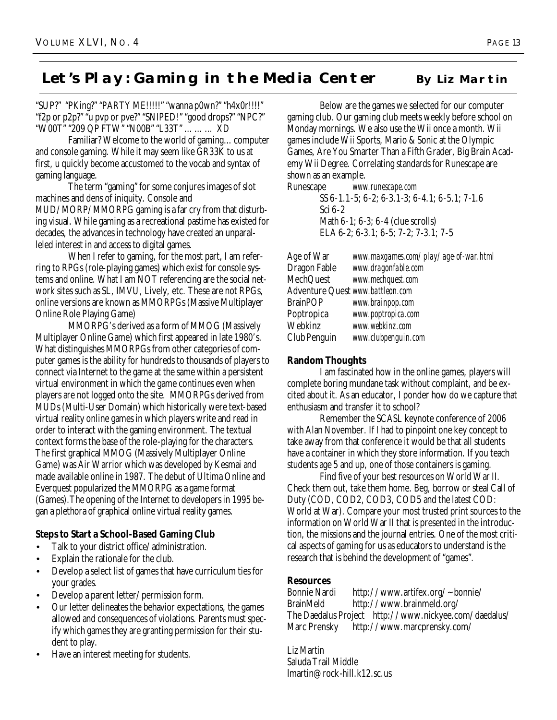## Let's Play: Gaming in the Media Center **By Liz Martin**

"SUP?" "PKing?" "PARTY ME!!!!!" "wanna p0wn?" "h4x0r!!!!" "f2p or p2p?" "u pvp or pve?" "SNIPED!" "good drops?" "NPC?" "W00T" "209 QP FTW" "N00B" "L33T" ……… XD

Familiar? Welcome to the world of gaming…computer and console gaming. While it may seem like GR33K to us at first, u quickly become accustomed to the vocab and syntax of gaming language.

The term "gaming" for some conjures images of slot machines and dens of iniquity. Console and MUD/MORP/MMORPG gaming is a far cry from that disturbing visual. While gaming as a recreational pastime has existed for decades, the advances in technology have created an unparalleled interest in and access to digital games.

When I refer to gaming, for the most part, I am referring to RPGs (role-playing games) which exist for console systems and online. What I am NOT referencing are the social network sites such as SL, IMVU, Lively, etc. These are not RPGs, online versions are known as MMORPGs (Massive Multiplayer Online Role Playing Game)

MMORPG's derived as a form of MMOG (Massively Multiplayer Online Game) which first appeared in late 1980's. What distinguishes MMORPGs from other categories of computer games is the ability for hundreds to thousands of players to connect via Internet to the game at the same within a persistent virtual environment in which the game continues even when players are not logged onto the site. MMORPGs derived from MUDs (Multi-User Domain) which historically were text-based virtual reality online games in which players write and read in order to interact with the gaming environment. The textual context forms the base of the role-playing for the characters. The first graphical MMOG (Massively Multiplayer Online Game) was Air Warrior which was developed by Kesmai and made available online in 1987. The debut of Ultima Online and Everquest popularized the MMORPG as a game format (Games).The opening of the Internet to developers in 1995 began a plethora of graphical online virtual reality games.

### **Steps to Start a School-Based Gaming Club**

- Talk to your district office/administration.
- Explain the rationale for the club.
- Develop a select list of games that have curriculum ties for your grades.
- Develop a parent letter/permission form.
- Our letter delineates the behavior expectations, the games allowed and consequences of violations. Parents must specify which games they are granting permission for their student to play.
- Have an interest meeting for students.

Below are the games we selected for our computer gaming club. Our gaming club meets weekly before school on Monday mornings. We also use the Wii once a month. Wii games include Wii Sports, Mario & Sonic at the Olympic Games, Are You Smarter Than a Fifth Grader, Big Brain Academy Wii Degree. Correlating standards for Runescape are shown as an example.

Runescape *www.runescape.com* SS 6-1.1-5; 6-2; 6-3.1-3; 6-4.1; 6-5.1; 7-1.6 Sci 6-2 Math 6-1; 6-3; 6-4 (clue scrolls) ELA 6-2; 6-3.1; 6-5; 7-2; 7-3.1; 7-5

| Age of War                       | www.maxgames.com/play/age-of-war.html |
|----------------------------------|---------------------------------------|
| Dragon Fable                     | www.dragonfable.com                   |
| MechQuest                        | www.mechquest.com                     |
| Adventure Quest www.battleon.com |                                       |
| BrainPOP                         | www.brainpop.com                      |
| Poptropica                       | www.poptropica.com                    |
| Webkinz                          | www.webkinz.com                       |
| Club Penguin                     | www.clubpenguin.com                   |
|                                  |                                       |

#### **Random Thoughts**

I am fascinated how in the online games, players will complete boring mundane task without complaint, and be excited about it. As an educator, I ponder how do we capture that enthusiasm and transfer it to school?

Remember the SCASL keynote conference of 2006 with Alan November. If I had to pinpoint one key concept to take away from that conference it would be that all students have a container in which they store information. If you teach students age 5 and up, one of those containers is gaming.

Find five of your best resources on World War II. Check them out, take them home. Beg, borrow or steal Call of Duty (COD, COD2, COD3, COD5 and the latest COD: World at War). Compare your most trusted print sources to the information on World War II that is presented in the introduction, the missions and the journal entries. One of the most critical aspects of gaming for us as educators to understand is the research that is behind the development of "games".

### **Resources**

Bonnie Nardi http://www.artifex.org/~bonnie/ BrainMeld http://www.brainmeld.org/ The Daedalus Project http://www.nickyee.com/daedalus/ Marc Prensky http://www.marcprensky.com/

Liz Martin Saluda Trail Middle lmartin@rock-hill.k12.sc.us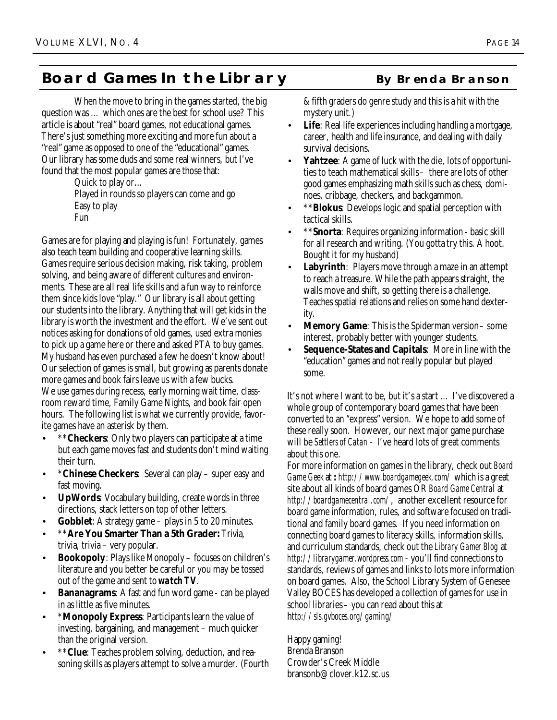## **Board Games In the Library** By Brenda Branson

When the move to bring in the games started, the big question was … which ones are the best for school use? This article is about "real" board games, not educational games. There's just something more exciting and more fun about a "real" game as opposed to one of the "educational" games. Our library has some duds and some real winners, but I've found that the most popular games are those that:

> Quick to play or… Played in rounds so players can come and go Easy to play Fun

Games are for playing and playing is fun! Fortunately, games also teach team building and cooperative learning skills. Games require serious decision making, risk taking, problem solving, and being aware of different cultures and environments. These are all real life skills and a fun way to reinforce them since kids love "play." Our library is all about getting our students into the library. Anything that will get kids in the library is worth the investment and the effort. We've sent out notices asking for donations of old games, used extra monies to pick up a game here or there and asked PTA to buy games. My husband has even purchased a few he doesn't know about! Our selection of games is small, but growing as parents donate more games and book fairs leave us with a few bucks. We use games during recess, early morning wait time, classroom reward time, Family Game Nights, and book fair open hours. The following list is what we currently provide, favorite games have an asterisk by them.

- \*\***Checkers**: Only two players can participate at a time but each game moves fast and students don't mind waiting their turn.
- **\*Chinese Checkers**: Several can play super easy and fast moving.
- **UpWords**: Vocabulary building, create words in three directions, stack letters on top of other letters.
- **Gobblet**: A strategy game plays in 5 to 20 minutes.
- \*\***Are You Smarter Than a 5th Grader:** Trivia, trivia, trivia – very popular.
- **Bookopoly**: Plays like Monopoly focuses on children's literature and you better be careful or you may be tossed out of the game and sent to *watch TV*.
- **Bananagrams:** A fast and fun word game can be played in as little as five minutes.
- \***Monopoly Express**: Participants learn the value of investing, bargaining, and management – much quicker than the original version.
- \*\***Clue**: Teaches problem solving, deduction, and reasoning skills as players attempt to solve a murder. (Fourth

& fifth graders do genre study and this is a hit with the mystery unit.)

- **Life**: Real life experiences including handling a mortgage, career, health and life insurance, and dealing with daily survival decisions.
- **Yahtzee:** A game of luck with the die, lots of opportunities to teach mathematical skills – there are lots of other good games emphasizing math skills such as chess, dominoes, cribbage, checkers, and backgammon.
- **\*\*Blokus**: Develops logic and spatial perception with tactical skills.
- \*\***Snorta**: Requires organizing information basic skill for all research and writing. (You gotta try this. A hoot. Bought it for my husband)
- **Labyrinth**: Players move through a maze in an attempt to reach a treasure. While the path appears straight, the walls move and shift, so getting there is a challenge. Teaches spatial relations and relies on some hand dexterity.
- **Memory Game**: This is the Spiderman version some interest, probably better with younger students.
- **Sequence-States and Capitals**: More in line with the "education" games and not really popular but played some.

It's not where I want to be, but it's a start … I've discovered a whole group of contemporary board games that have been converted to an "express" version. We hope to add some of these really soon. However, our next major game purchase will be *Settlers of Catan –* I've heard lots of great comments about this one.

For more information on games in the library, check out *Board Game Geek* at **:** *http://www.boardgamegeek.com/* which is a great site about all kinds of board games OR *Board Game Central* at *http://boardgamecentral.com/*, another excellent resource for board game information, rules, and software focused on traditional and family board games. If you need information on connecting board games to literacy skills, information skills, and curriculum standards, check out the *Library Gamer Blog* at *http://librarygamer.wordpress.com* - you'll find connections to standards, reviews of games and links to lots more information on board games. Also, the School Library System of Genesee Valley BOCES has developed a collection of games for use in school libraries – you can read about this at h*ttp://sls.gvboces.org/gaming/* 

Happy gaming! Brenda Branson Crowder's Creek Middle bransonb@clover.k12.sc.us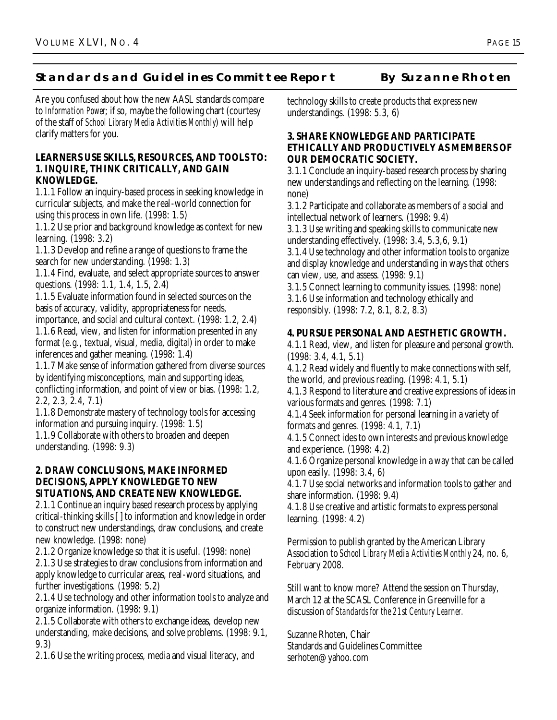## **Standards and Guidelines Committee Report By Suzanne Rhoten**

Are you confused about how the new AASL standards compare to *Information Power*; if so, maybe the following chart (courtesy of the staff of *School Library Media Activities Monthly*) will help clarify matters for you.

#### **LEARNERS USE SKILLS, RESOURCES, AND TOOLS TO: 1. INQUIRE, THINK CRITICALLY, AND GAIN KNOWLEDGE.**

1.1.1 Follow an inquiry-based process in seeking knowledge in curricular subjects, and make the real-world connection for using this process in own life. (1998: 1.5)

1.1.2 Use prior and background knowledge as context for new learning. (1998: 3.2)

1.1.3 Develop and refine a range of questions to frame the search for new understanding. (1998: 1.3)

1.1.4 Find, evaluate, and select appropriate sources to answer questions. (1998: 1.1, 1.4, 1.5, 2.4)

1.1.5 Evaluate information found in selected sources on the basis of accuracy, validity, appropriateness for needs,

importance, and social and cultural context. (1998: 1.2, 2.4) 1.1.6 Read, view, and listen for information presented in any format (e.g., textual, visual, media, digital) in order to make inferences and gather meaning. (1998: 1.4)

1.1.7 Make sense of information gathered from diverse sources by identifying misconceptions, main and supporting ideas, conflicting information, and point of view or bias. (1998: 1.2, 2.2, 2.3, 2.4, 7.1)

1.1.8 Demonstrate mastery of technology tools for accessing information and pursuing inquiry. (1998: 1.5)

1.1.9 Collaborate with others to broaden and deepen understanding. (1998: 9.3)

#### **2. DRAW CONCLUSIONS, MAKE INFORMED DECISIONS, APPLY KNOWLEDGE TO NEW SITUATIONS, AND CREATE NEW KNOWLEDGE.**

2.1.1 Continue an inquiry based research process by applying critical-thinking skills [ ] to information and knowledge in order to construct new understandings, draw conclusions, and create new knowledge. (1998: none)

2.1.2 Organize knowledge so that it is useful. (1998: none) 2.1.3 Use strategies to draw conclusions from information and apply knowledge to curricular areas, real-word situations, and further investigations. (1998: 5.2)

2.1.4 Use technology and other information tools to analyze and organize information. (1998: 9.1)

2.1.5 Collaborate with others to exchange ideas, develop new understanding, make decisions, and solve problems. (1998: 9.1, 9.3)

2.1.6 Use the writing process, media and visual literacy, and

technology skills to create products that express new understandings. (1998: 5.3, 6)

#### **3. SHARE KNOWLEDGE AND PARTICIPATE ETHICALLY AND PRODUCTIVELY AS MEMBERS OF OUR DEMOCRATIC SOCIETY.**

3.1.1 Conclude an inquiry-based research process by sharing new understandings and reflecting on the learning. (1998: none)

3.1.2 Participate and collaborate as members of a social and intellectual network of learners. (1998: 9.4)

3.1.3 Use writing and speaking skills to communicate new understanding effectively. (1998: 3.4, 5.3,6, 9.1)

3.1.4 Use technology and other information tools to organize and display knowledge and understanding in ways that others can view, use, and assess. (1998: 9.1)

3.1.5 Connect learning to community issues. (1998: none) 3.1.6 Use information and technology ethically and responsibly. (1998: 7.2, 8.1, 8.2, 8.3)

## **4. PURSUE PERSONAL AND AESTHETIC GROWTH.**

4.1.1 Read, view, and listen for pleasure and personal growth. (1998: 3.4, 4.1, 5.1)

4.1.2 Read widely and fluently to make connections with self, the world, and previous reading. (1998: 4.1, 5.1)

4.1.3 Respond to literature and creative expressions of ideas in various formats and genres. (1998: 7.1)

4.1.4 Seek information for personal learning in a variety of formats and genres. (1998: 4.1, 7.1)

4.1.5 Connect ides to own interests and previous knowledge and experience. (1998: 4.2)

4.1.6 Organize personal knowledge in a way that can be called upon easily. (1998: 3.4, 6)

4.1.7 Use social networks and information tools to gather and share information. (1998: 9.4)

4.1.8 Use creative and artistic formats to express personal learning. (1998: 4.2)

Permission to publish granted by the American Library Association to *School Library Media Activities Monthly* 24, no. 6, February 2008.

Still want to know more? Attend the session on Thursday, March 12 at the SCASL Conference in Greenville for a discussion of *Standards for the 21st Century Learner.*

Suzanne Rhoten, Chair Standards and Guidelines Committee serhoten@yahoo.com